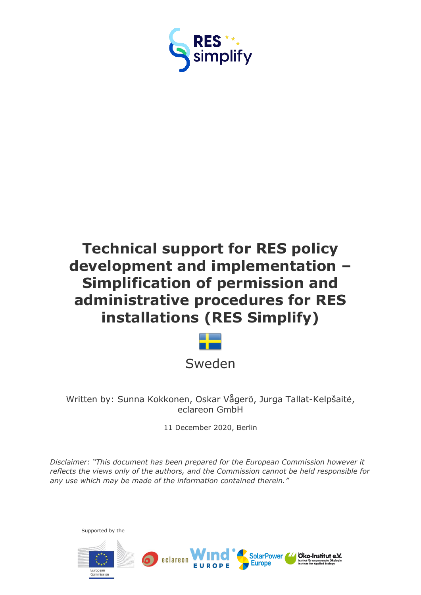

# **Technical support for RES policy development and implementation – Simplification of permission and administrative procedures for RES installations (RES Simplify)**



Written by: Sunna Kokkonen, Oskar Vågerö, Jurga Tallat-Kelpšaitė, eclareon GmbH

11 December 2020, Berlin

*Disclaimer: "This document has been prepared for the European Commission however it reflects the views only of the authors, and the Commission cannot be held responsible for any use which may be made of the information contained therein."*

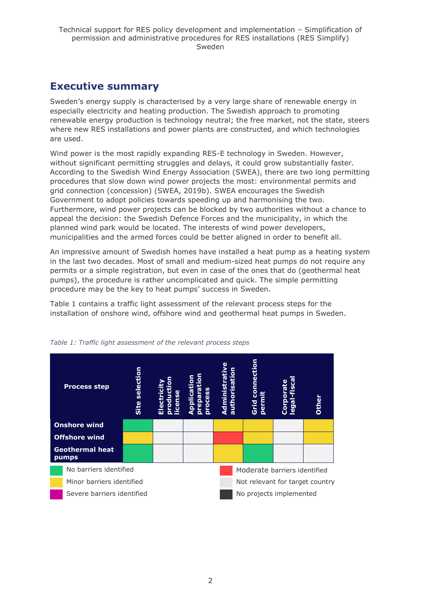## <span id="page-1-0"></span>**Executive summary**

Sweden's energy supply is characterised by a very large share of renewable energy in especially electricity and heating production. The Swedish approach to promoting renewable energy production is technology neutral; the free market, not the state, steers where new RES installations and power plants are constructed, and which technologies are used.

Wind power is the most rapidly expanding RES-E technology in Sweden. However, without significant permitting struggles and delays, it could grow substantially faster. According to the Swedish Wind Energy Association (SWEA), there are two long permitting procedures that slow down wind power projects the most: environmental permits and grid connection (concession) (SWEA, 2019b). SWEA encourages the Swedish Government to adopt policies towards speeding up and harmonising the two. Furthermore, wind power projects can be blocked by two authorities without a chance to appeal the decision: the Swedish Defence Forces and the municipality, in which the planned wind park would be located. The interests of wind power developers, municipalities and the armed forces could be better aligned in order to benefit all.

An impressive amount of Swedish homes have installed a heat pump as a heating system in the last two decades. Most of small and medium-sized heat pumps do not require any permits or a simple registration, but even in case of the ones that do (geothermal heat pumps), the procedure is rather uncomplicated and quick. The simple permitting procedure may be the key to heat pumps' success in Sweden.

Table 1 contains a traffic light assessment of the relevant process steps for the installation of onshore wind, offshore wind and geothermal heat pumps in Sweden.



*Table 1: Traffic light assessment of the relevant process steps*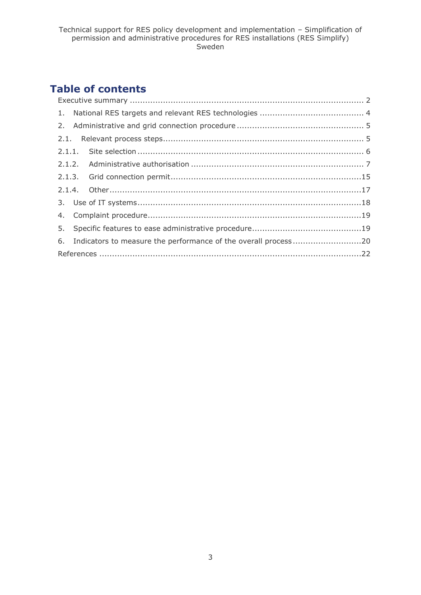## **Table of contents**

| 6. Indicators to measure the performance of the overall process20 |
|-------------------------------------------------------------------|
|                                                                   |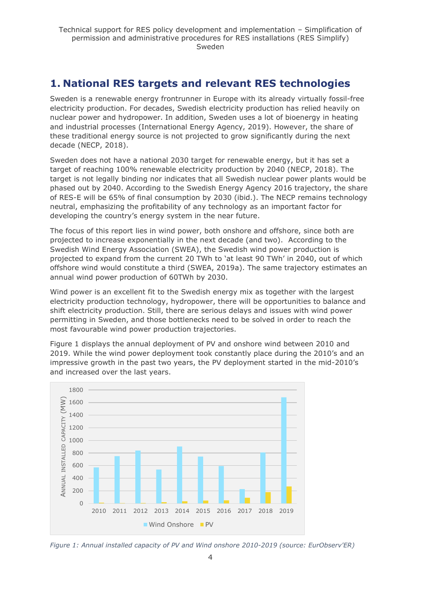## <span id="page-3-0"></span>**1. National RES targets and relevant RES technologies**

Sweden is a renewable energy frontrunner in Europe with its already virtually fossil-free electricity production. For decades, Swedish electricity production has relied heavily on nuclear power and hydropower. In addition, Sweden uses a lot of bioenergy in heating and industrial processes (International Energy Agency, 2019). However, the share of these traditional energy source is not projected to grow significantly during the next decade (NECP, 2018).

Sweden does not have a national 2030 target for renewable energy, but it has set a target of reaching 100% renewable electricity production by 2040 (NECP, 2018). The target is not legally binding nor indicates that all Swedish nuclear power plants would be phased out by 2040. According to the Swedish Energy Agency 2016 trajectory, the share of RES-E will be 65% of final consumption by 2030 (ibid.). The NECP remains technology neutral, emphasizing the profitability of any technology as an important factor for developing the country's energy system in the near future.

The focus of this report lies in wind power, both onshore and offshore, since both are projected to increase exponentially in the next decade (and two). According to the Swedish Wind Energy Association (SWEA), the Swedish wind power production is projected to expand from the current 20 TWh to 'at least 90 TWh' in 2040, out of which offshore wind would constitute a third (SWEA, 2019a). The same trajectory estimates an annual wind power production of 60TWh by 2030.

Wind power is an excellent fit to the Swedish energy mix as together with the largest electricity production technology, hydropower, there will be opportunities to balance and shift electricity production. Still, there are serious delays and issues with wind power permitting in Sweden, and those bottlenecks need to be solved in order to reach the most favourable wind power production trajectories.

Figure 1 displays the annual deployment of PV and onshore wind between 2010 and 2019. While the wind power deployment took constantly place during the 2010's and an impressive growth in the past two years, the PV deployment started in the mid-2010's and increased over the last years.



*Figure 1: Annual installed capacity of PV and Wind onshore 2010-2019 (source: EurObserv'ER)*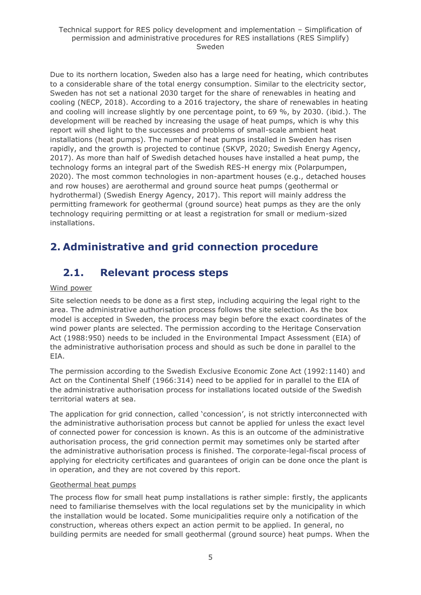Due to its northern location, Sweden also has a large need for heating, which contributes to a considerable share of the total energy consumption. Similar to the electricity sector, Sweden has not set a national 2030 target for the share of renewables in heating and cooling (NECP, 2018). According to a 2016 trajectory, the share of renewables in heating and cooling will increase slightly by one percentage point, to 69 %, by 2030. (ibid.). The development will be reached by increasing the usage of heat pumps, which is why this report will shed light to the successes and problems of small-scale ambient heat installations (heat pumps). The number of heat pumps installed in Sweden has risen rapidly, and the growth is projected to continue (SKVP, 2020; Swedish Energy Agency, 2017). As more than half of Swedish detached houses have installed a heat pump, the technology forms an integral part of the Swedish RES-H energy mix (Polarpumpen, 2020). The most common technologies in non-apartment houses (e.g., detached houses and row houses) are aerothermal and ground source heat pumps (geothermal or hydrothermal) (Swedish Energy Agency, 2017). This report will mainly address the permitting framework for geothermal (ground source) heat pumps as they are the only technology requiring permitting or at least a registration for small or medium-sized installations.

## <span id="page-4-1"></span><span id="page-4-0"></span>**2. Administrative and grid connection procedure**

## **2.1. Relevant process steps**

## Wind power

Site selection needs to be done as a first step, including acquiring the legal right to the area. The administrative authorisation process follows the site selection. As the box model is accepted in Sweden, the process may begin before the exact coordinates of the wind power plants are selected. The permission according to the Heritage Conservation Act (1988:950) needs to be included in the Environmental Impact Assessment (EIA) of the administrative authorisation process and should as such be done in parallel to the EIA.

The permission according to the Swedish Exclusive Economic Zone Act (1992:1140) and Act on the Continental Shelf (1966:314) need to be applied for in parallel to the EIA of the administrative authorisation process for installations located outside of the Swedish territorial waters at sea.

The application for grid connection, called 'concession', is not strictly interconnected with the administrative authorisation process but cannot be applied for unless the exact level of connected power for concession is known. As this is an outcome of the administrative authorisation process, the grid connection permit may sometimes only be started after the administrative authorisation process is finished. The corporate-legal-fiscal process of applying for electricity certificates and guarantees of origin can be done once the plant is in operation, and they are not covered by this report.

### Geothermal heat pumps

The process flow for small heat pump installations is rather simple: firstly, the applicants need to familiarise themselves with the local regulations set by the municipality in which the installation would be located. Some municipalities require only a notification of the construction, whereas others expect an action permit to be applied. In general, no building permits are needed for small geothermal (ground source) heat pumps. When the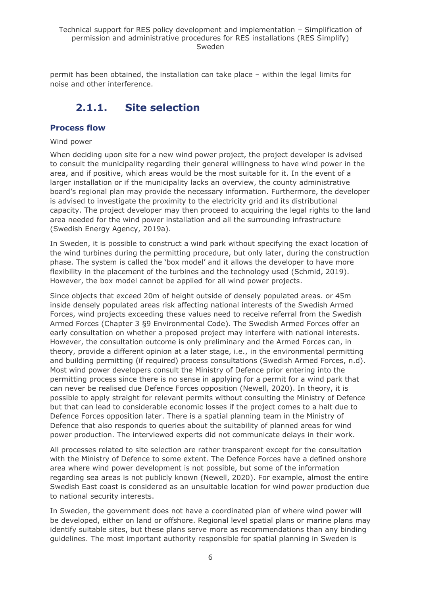<span id="page-5-0"></span>permit has been obtained, the installation can take place – within the legal limits for noise and other interference.

## **2.1.1. Site selection**

### **Process flow**

### Wind power

When deciding upon site for a new wind power project, the project developer is advised to consult the municipality regarding their general willingness to have wind power in the area, and if positive, which areas would be the most suitable for it. In the event of a larger installation or if the municipality lacks an overview, the county administrative board's regional plan may provide the necessary information. Furthermore, the developer is advised to investigate the proximity to the electricity grid and its distributional capacity. The project developer may then proceed to acquiring the legal rights to the land area needed for the wind power installation and all the surrounding infrastructure (Swedish Energy Agency, 2019a).

In Sweden, it is possible to construct a wind park without specifying the exact location of the wind turbines during the permitting procedure, but only later, during the construction phase. The system is called the 'box model' and it allows the developer to have more flexibility in the placement of the turbines and the technology used (Schmid, 2019). However, the box model cannot be applied for all wind power projects.

Since objects that exceed 20m of height outside of densely populated areas. or 45m inside densely populated areas risk affecting national interests of the Swedish Armed Forces, wind projects exceeding these values need to receive referral from the Swedish Armed Forces (Chapter 3 §9 Environmental Code). The Swedish Armed Forces offer an early consultation on whether a proposed project may interfere with national interests. However, the consultation outcome is only preliminary and the Armed Forces can, in theory, provide a different opinion at a later stage, i.e., in the environmental permitting and building permitting (if required) process consultations (Swedish Armed Forces, n.d). Most wind power developers consult the Ministry of Defence prior entering into the permitting process since there is no sense in applying for a permit for a wind park that can never be realised due Defence Forces opposition (Newell, 2020). In theory, it is possible to apply straight for relevant permits without consulting the Ministry of Defence but that can lead to considerable economic losses if the project comes to a halt due to Defence Forces opposition later. There is a spatial planning team in the Ministry of Defence that also responds to queries about the suitability of planned areas for wind power production. The interviewed experts did not communicate delays in their work.

All processes related to site selection are rather transparent except for the consultation with the Ministry of Defence to some extent. The Defence Forces have a defined onshore area where wind power development is not possible, but some of the information regarding sea areas is not publicly known (Newell, 2020). For example, almost the entire Swedish East coast is considered as an unsuitable location for wind power production due to national security interests.

In Sweden, the government does not have a coordinated plan of where wind power will be developed, either on land or offshore. Regional level spatial plans or marine plans may identify suitable sites, but these plans serve more as recommendations than any binding guidelines. The most important authority responsible for spatial planning in Sweden is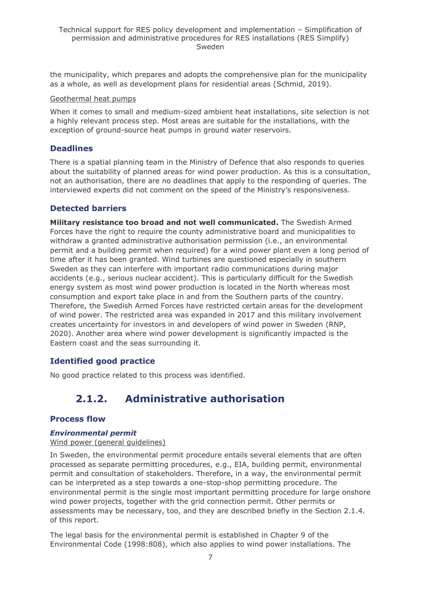the municipality, which prepares and adopts the comprehensive plan for the municipality as a whole, as well as development plans for residential areas (Schmid, 2019).

#### Geothermal heat pumps

When it comes to small and medium-sized ambient heat installations, site selection is not a highly relevant process step. Most areas are suitable for the installations, with the exception of ground-source heat pumps in ground water reservoirs.

## **Deadlines**

There is a spatial planning team in the Ministry of Defence that also responds to queries about the suitability of planned areas for wind power production. As this is a consultation, not an authorisation, there are no deadlines that apply to the responding of queries. The interviewed experts did not comment on the speed of the Ministry's responsiveness.

## **Detected barriers**

**Military resistance too broad and not well communicated.** The Swedish Armed Forces have the right to require the county administrative board and municipalities to withdraw a granted administrative authorisation permission (i.e., an environmental permit and a building permit when required) for a wind power plant even a long period of time after it has been granted. Wind turbines are questioned especially in southern Sweden as they can interfere with important radio communications during major accidents (e.g., serious nuclear accident). This is particularly difficult for the Swedish energy system as most wind power production is located in the North whereas most consumption and export take place in and from the Southern parts of the country. Therefore, the Swedish Armed Forces have restricted certain areas for the development of wind power. The restricted area was expanded in 2017 and this military involvement creates uncertainty for investors in and developers of wind power in Sweden (RNP, 2020). Another area where wind power development is significantly impacted is the Eastern coast and the seas surrounding it.

## **Identified good practice**

<span id="page-6-0"></span>No good practice related to this process was identified.

## **2.1.2. Administrative authorisation**

### **Process flow**

## *Environmental permit*

### Wind power (general guidelines)

In Sweden, the environmental permit procedure entails several elements that are often processed as separate permitting procedures, e.g., EIA, building permit, environmental permit and consultation of stakeholders. Therefore, in a way, the environmental permit can be interpreted as a step towards a one-stop-shop permitting procedure. The environmental permit is the single most important permitting procedure for large onshore wind power projects, together with the grid connection permit. Other permits or assessments may be necessary, too, and they are described briefly in the Section 2.1.4. of this report.

The legal basis for the environmental permit is established in Chapter 9 of the Environmental Code (1998:808), which also applies to wind power installations. The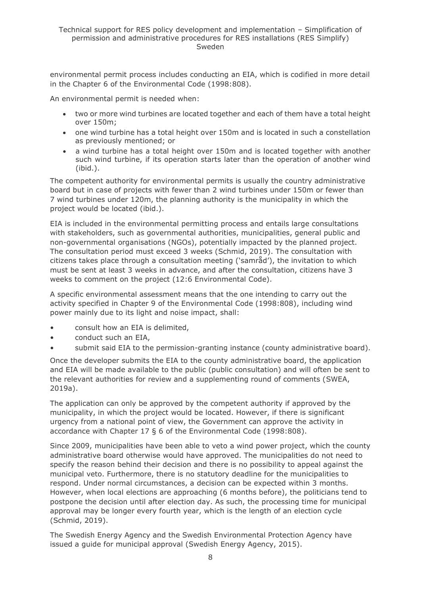environmental permit process includes conducting an EIA, which is codified in more detail in the Chapter 6 of the Environmental Code (1998:808).

An environmental permit is needed when:

- two or more wind turbines are located together and each of them have a total height over 150m;
- one wind turbine has a total height over 150m and is located in such a constellation as previously mentioned; or
- a wind turbine has a total height over 150m and is located together with another such wind turbine, if its operation starts later than the operation of another wind (ibid.).

The competent authority for environmental permits is usually the country administrative board but in case of projects with fewer than 2 wind turbines under 150m or fewer than 7 wind turbines under 120m, the planning authority is the municipality in which the project would be located (ibid.).

EIA is included in the environmental permitting process and entails large consultations with stakeholders, such as governmental authorities, municipalities, general public and non-governmental organisations (NGOs), potentially impacted by the planned project. The consultation period must exceed 3 weeks (Schmid, 2019). The consultation with citizens takes place through a consultation meeting ('samråd'), the invitation to which must be sent at least 3 weeks in advance, and after the consultation, citizens have 3 weeks to comment on the project (12:6 Environmental Code).

A specific environmental assessment means that the one intending to carry out the activity specified in Chapter 9 of the Environmental Code (1998:808), including wind power mainly due to its light and noise impact, shall:

- consult how an EIA is delimited,
- conduct such an EIA.
- submit said EIA to the permission-granting instance (county administrative board).

Once the developer submits the EIA to the county administrative board, the application and EIA will be made available to the public (public consultation) and will often be sent to the relevant authorities for review and a supplementing round of comments (SWEA, 2019a).

The application can only be approved by the competent authority if approved by the municipality, in which the project would be located. However, if there is significant urgency from a national point of view, the Government can approve the activity in accordance with Chapter 17 § 6 of the Environmental Code (1998:808).

Since 2009, municipalities have been able to veto a wind power project, which the county administrative board otherwise would have approved. The municipalities do not need to specify the reason behind their decision and there is no possibility to appeal against the municipal veto. Furthermore, there is no statutory deadline for the municipalities to respond. Under normal circumstances, a decision can be expected within 3 months. However, when local elections are approaching (6 months before), the politicians tend to postpone the decision until after election day. As such, the processing time for municipal approval may be longer every fourth year, which is the length of an election cycle (Schmid, 2019).

The Swedish Energy Agency and the Swedish Environmental Protection Agency have issued a guide for municipal approval (Swedish Energy Agency, 2015).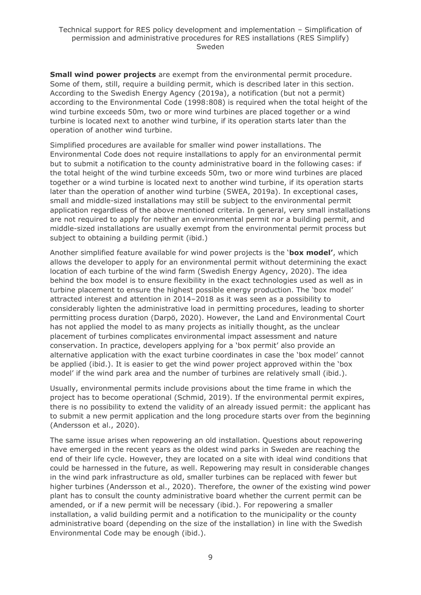**Small wind power projects** are exempt from the environmental permit procedure. Some of them, still, require a building permit, which is described later in this section. According to the Swedish Energy Agency (2019a), a notification (but not a permit) according to the Environmental Code (1998:808) is required when the total height of the wind turbine exceeds 50m, two or more wind turbines are placed together or a wind turbine is located next to another wind turbine, if its operation starts later than the operation of another wind turbine.

Simplified procedures are available for smaller wind power installations. The Environmental Code does not require installations to apply for an environmental permit but to submit a notification to the county administrative board in the following cases: if the total height of the wind turbine exceeds 50m, two or more wind turbines are placed together or a wind turbine is located next to another wind turbine, if its operation starts later than the operation of another wind turbine (SWEA, 2019a). In exceptional cases, small and middle-sized installations may still be subject to the environmental permit application regardless of the above mentioned criteria. In general, very small installations are not required to apply for neither an environmental permit nor a building permit, and middle-sized installations are usually exempt from the environmental permit process but subject to obtaining a building permit (ibid.)

Another simplified feature available for wind power projects is the '**box model'**, which allows the developer to apply for an environmental permit without determining the exact location of each turbine of the wind farm (Swedish Energy Agency, 2020). The idea behind the box model is to ensure flexibility in the exact technologies used as well as in turbine placement to ensure the highest possible energy production. The 'box model' attracted interest and attention in 2014–2018 as it was seen as a possibility to considerably lighten the administrative load in permitting procedures, leading to shorter permitting process duration (Darpö, 2020). However, the Land and Environmental Court has not applied the model to as many projects as initially thought, as the unclear placement of turbines complicates environmental impact assessment and nature conservation. In practice, developers applying for a 'box permit' also provide an alternative application with the exact turbine coordinates in case the 'box model' cannot be applied (ibid.). It is easier to get the wind power project approved within the 'box model' if the wind park area and the number of turbines are relatively small (ibid.).

Usually, environmental permits include provisions about the time frame in which the project has to become operational (Schmid, 2019). If the environmental permit expires, there is no possibility to extend the validity of an already issued permit: the applicant has to submit a new permit application and the long procedure starts over from the beginning (Andersson et al., 2020).

The same issue arises when repowering an old installation. Questions about repowering have emerged in the recent years as the oldest wind parks in Sweden are reaching the end of their life cycle. However, they are located on a site with ideal wind conditions that could be harnessed in the future, as well. Repowering may result in considerable changes in the wind park infrastructure as old, smaller turbines can be replaced with fewer but higher turbines (Andersson et al., 2020). Therefore, the owner of the existing wind power plant has to consult the county administrative board whether the current permit can be amended, or if a new permit will be necessary (ibid.). For repowering a smaller installation, a valid building permit and a notification to the municipality or the county administrative board (depending on the size of the installation) in line with the Swedish Environmental Code may be enough (ibid.).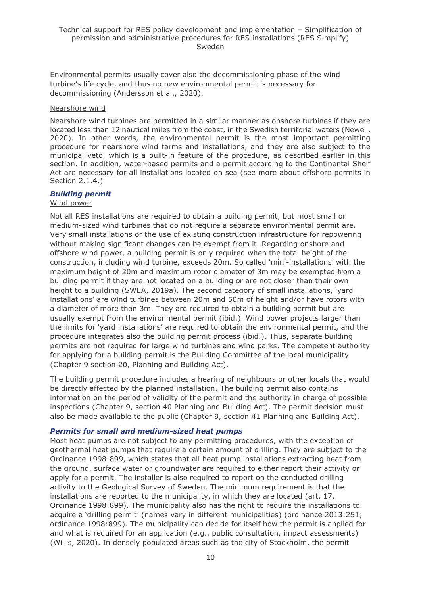Environmental permits usually cover also the decommissioning phase of the wind turbine's life cycle, and thus no new environmental permit is necessary for decommissioning (Andersson et al., 2020).

#### Nearshore wind

Nearshore wind turbines are permitted in a similar manner as onshore turbines if they are located less than 12 nautical miles from the coast, in the Swedish territorial waters (Newell, 2020). In other words, the environmental permit is the most important permitting procedure for nearshore wind farms and installations, and they are also subject to the municipal veto, which is a built-in feature of the procedure, as described earlier in this section. In addition, water-based permits and a permit according to the Continental Shelf Act are necessary for all installations located on sea (see more about offshore permits in Section 2.1.4.)

### *Building permit*

#### Wind power

Not all RES installations are required to obtain a building permit, but most small or medium-sized wind turbines that do not require a separate environmental permit are. Very small installations or the use of existing construction infrastructure for repowering without making significant changes can be exempt from it. Regarding onshore and offshore wind power, a building permit is only required when the total height of the construction, including wind turbine, exceeds 20m. So called 'mini-installations' with the maximum height of 20m and maximum rotor diameter of 3m may be exempted from a building permit if they are not located on a building or are not closer than their own height to a building (SWEA, 2019a). The second category of small installations, 'yard installations' are wind turbines between 20m and 50m of height and/or have rotors with a diameter of more than 3m. They are required to obtain a building permit but are usually exempt from the environmental permit (ibid.). Wind power projects larger than the limits for 'yard installations' are required to obtain the environmental permit, and the procedure integrates also the building permit process (ibid.). Thus, separate building permits are not required for large wind turbines and wind parks. The competent authority for applying for a building permit is the Building Committee of the local municipality (Chapter 9 section 20, Planning and Building Act).

The building permit procedure includes a hearing of neighbours or other locals that would be directly affected by the planned installation. The building permit also contains information on the period of validity of the permit and the authority in charge of possible inspections (Chapter 9, section 40 Planning and Building Act). The permit decision must also be made available to the public (Chapter 9, section 41 Planning and Building Act).

#### *Permits for small and medium-sized heat pumps*

Most heat pumps are not subject to any permitting procedures, with the exception of geothermal heat pumps that require a certain amount of drilling. They are subject to the Ordinance 1998:899, which states that all heat pump installations extracting heat from the ground, surface water or groundwater are required to either report their activity or apply for a permit. The installer is also required to report on the conducted drilling activity to the Geological Survey of Sweden. The minimum requirement is that the installations are reported to the municipality, in which they are located (art. 17, Ordinance 1998:899). The municipality also has the right to require the installations to acquire a 'drilling permit' (names vary in different municipalities) (ordinance 2013:251; ordinance 1998:899). The municipality can decide for itself how the permit is applied for and what is required for an application (e.g., public consultation, impact assessments) (Willis, 2020). In densely populated areas such as the city of Stockholm, the permit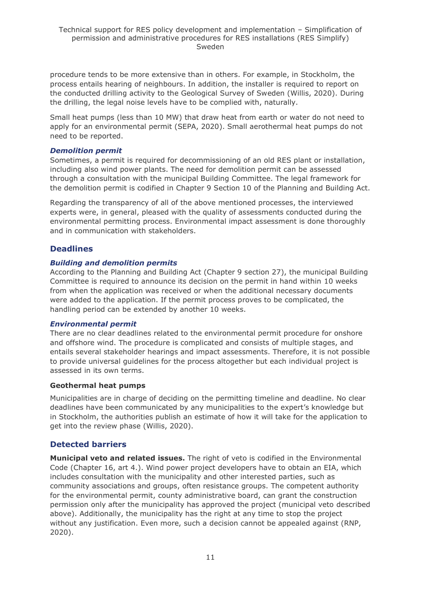procedure tends to be more extensive than in others. For example, in Stockholm, the process entails hearing of neighbours. In addition, the installer is required to report on the conducted drilling activity to the Geological Survey of Sweden (Willis, 2020). During the drilling, the legal noise levels have to be complied with, naturally.

Small heat pumps (less than 10 MW) that draw heat from earth or water do not need to apply for an environmental permit (SEPA, 2020). Small aerothermal heat pumps do not need to be reported.

#### *Demolition permit*

Sometimes, a permit is required for decommissioning of an old RES plant or installation, including also wind power plants. The need for demolition permit can be assessed through a consultation with the municipal Building Committee. The legal framework for the demolition permit is codified in Chapter 9 Section 10 of the Planning and Building Act.

Regarding the transparency of all of the above mentioned processes, the interviewed experts were, in general, pleased with the quality of assessments conducted during the environmental permitting process. Environmental impact assessment is done thoroughly and in communication with stakeholders.

### **Deadlines**

#### *Building and demolition permits*

According to the Planning and Building Act (Chapter 9 section 27), the municipal Building Committee is required to announce its decision on the permit in hand within 10 weeks from when the application was received or when the additional necessary documents were added to the application. If the permit process proves to be complicated, the handling period can be extended by another 10 weeks.

#### *Environmental permit*

There are no clear deadlines related to the environmental permit procedure for onshore and offshore wind. The procedure is complicated and consists of multiple stages, and entails several stakeholder hearings and impact assessments. Therefore, it is not possible to provide universal guidelines for the process altogether but each individual project is assessed in its own terms.

#### **Geothermal heat pumps**

Municipalities are in charge of deciding on the permitting timeline and deadline. No clear deadlines have been communicated by any municipalities to the expert's knowledge but in Stockholm, the authorities publish an estimate of how it will take for the application to get into the review phase (Willis, 2020).

### **Detected barriers**

**Municipal veto and related issues.** The right of veto is codified in the Environmental Code (Chapter 16, art 4.). Wind power project developers have to obtain an EIA, which includes consultation with the municipality and other interested parties, such as community associations and groups, often resistance groups. The competent authority for the environmental permit, county administrative board, can grant the construction permission only after the municipality has approved the project (municipal veto described above). Additionally, the municipality has the right at any time to stop the project without any justification. Even more, such a decision cannot be appealed against (RNP, 2020).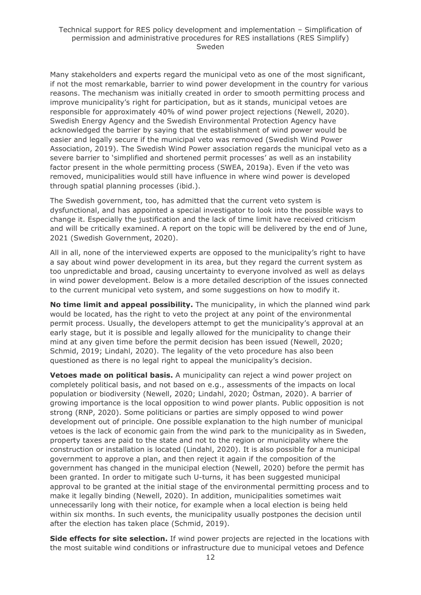Many stakeholders and experts regard the municipal veto as one of the most significant, if not the most remarkable, barrier to wind power development in the country for various reasons. The mechanism was initially created in order to smooth permitting process and improve municipality's right for participation, but as it stands, municipal vetoes are responsible for approximately 40% of wind power project rejections (Newell, 2020). Swedish Energy Agency and the Swedish Environmental Protection Agency have acknowledged the barrier by saying that the establishment of wind power would be easier and legally secure if the municipal veto was removed (Swedish Wind Power Association, 2019). The Swedish Wind Power association regards the municipal veto as a severe barrier to 'simplified and shortened permit processes' as well as an instability factor present in the whole permitting process (SWEA, 2019a). Even if the veto was removed, municipalities would still have influence in where wind power is developed through spatial planning processes (ibid.).

The Swedish government, too, has admitted that the current veto system is dysfunctional, and has appointed a special investigator to look into the possible ways to change it. Especially the justification and the lack of time limit have received criticism and will be critically examined. A report on the topic will be delivered by the end of June, 2021 (Swedish Government, 2020).

All in all, none of the interviewed experts are opposed to the municipality's right to have a say about wind power development in its area, but they regard the current system as too unpredictable and broad, causing uncertainty to everyone involved as well as delays in wind power development. Below is a more detailed description of the issues connected to the current municipal veto system, and some suggestions on how to modify it.

**No time limit and appeal possibility.** The municipality, in which the planned wind park would be located, has the right to veto the project at any point of the environmental permit process. Usually, the developers attempt to get the municipality's approval at an early stage, but it is possible and legally allowed for the municipality to change their mind at any given time before the permit decision has been issued (Newell, 2020; Schmid, 2019; Lindahl, 2020). The legality of the veto procedure has also been questioned as there is no legal right to appeal the municipality's decision.

**Vetoes made on political basis.** A municipality can reject a wind power project on completely political basis, and not based on e.g., assessments of the impacts on local population or biodiversity (Newell, 2020; Lindahl, 2020; Östman, 2020). A barrier of growing importance is the local opposition to wind power plants. Public opposition is not strong (RNP, 2020). Some politicians or parties are simply opposed to wind power development out of principle. One possible explanation to the high number of municipal vetoes is the lack of economic gain from the wind park to the municipality as in Sweden, property taxes are paid to the state and not to the region or municipality where the construction or installation is located (Lindahl, 2020). It is also possible for a municipal government to approve a plan, and then reject it again if the composition of the government has changed in the municipal election (Newell, 2020) before the permit has been granted. In order to mitigate such U-turns, it has been suggested municipal approval to be granted at the initial stage of the environmental permitting process and to make it legally binding (Newell, 2020). In addition, municipalities sometimes wait unnecessarily long with their notice, for example when a local election is being held within six months. In such events, the municipality usually postpones the decision until after the election has taken place (Schmid, 2019).

**Side effects for site selection.** If wind power projects are rejected in the locations with the most suitable wind conditions or infrastructure due to municipal vetoes and Defence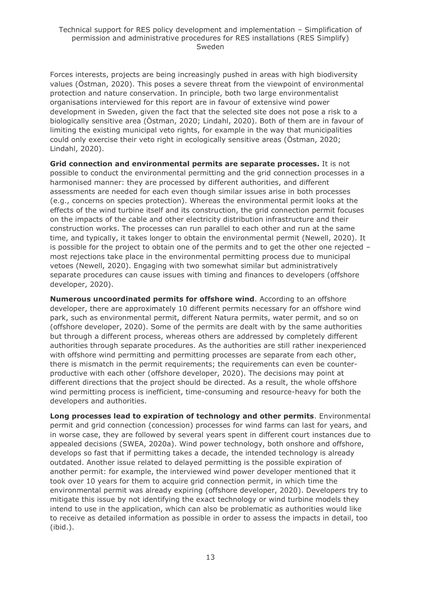Forces interests, projects are being increasingly pushed in areas with high biodiversity values (Östman, 2020). This poses a severe threat from the viewpoint of environmental protection and nature conservation. In principle, both two large environmentalist organisations interviewed for this report are in favour of extensive wind power development in Sweden, given the fact that the selected site does not pose a risk to a biologically sensitive area (Östman, 2020; Lindahl, 2020). Both of them are in favour of limiting the existing municipal veto rights, for example in the way that municipalities could only exercise their veto right in ecologically sensitive areas (Östman, 2020; Lindahl, 2020).

**Grid connection and environmental permits are separate processes.** It is not possible to conduct the environmental permitting and the grid connection processes in a harmonised manner: they are processed by different authorities, and different assessments are needed for each even though similar issues arise in both processes (e.g., concerns on species protection). Whereas the environmental permit looks at the effects of the wind turbine itself and its construction, the grid connection permit focuses on the impacts of the cable and other electricity distribution infrastructure and their construction works. The processes can run parallel to each other and run at the same time, and typically, it takes longer to obtain the environmental permit (Newell, 2020). It is possible for the project to obtain one of the permits and to get the other one rejected – most rejections take place in the environmental permitting process due to municipal vetoes (Newell, 2020). Engaging with two somewhat similar but administratively separate procedures can cause issues with timing and finances to developers (offshore developer, 2020).

**Numerous uncoordinated permits for offshore wind**. According to an offshore developer, there are approximately 10 different permits necessary for an offshore wind park, such as environmental permit, different Natura permits, water permit, and so on (offshore developer, 2020). Some of the permits are dealt with by the same authorities but through a different process, whereas others are addressed by completely different authorities through separate procedures. As the authorities are still rather inexperienced with offshore wind permitting and permitting processes are separate from each other, there is mismatch in the permit requirements; the requirements can even be counterproductive with each other (offshore developer, 2020). The decisions may point at different directions that the project should be directed. As a result, the whole offshore wind permitting process is inefficient, time-consuming and resource-heavy for both the developers and authorities.

**Long processes lead to expiration of technology and other permits**. Environmental permit and grid connection (concession) processes for wind farms can last for years, and in worse case, they are followed by several years spent in different court instances due to appealed decisions (SWEA, 2020a). Wind power technology, both onshore and offshore, develops so fast that if permitting takes a decade, the intended technology is already outdated. Another issue related to delayed permitting is the possible expiration of another permit: for example, the interviewed wind power developer mentioned that it took over 10 years for them to acquire grid connection permit, in which time the environmental permit was already expiring (offshore developer, 2020). Developers try to mitigate this issue by not identifying the exact technology or wind turbine models they intend to use in the application, which can also be problematic as authorities would like to receive as detailed information as possible in order to assess the impacts in detail, too (ibid.).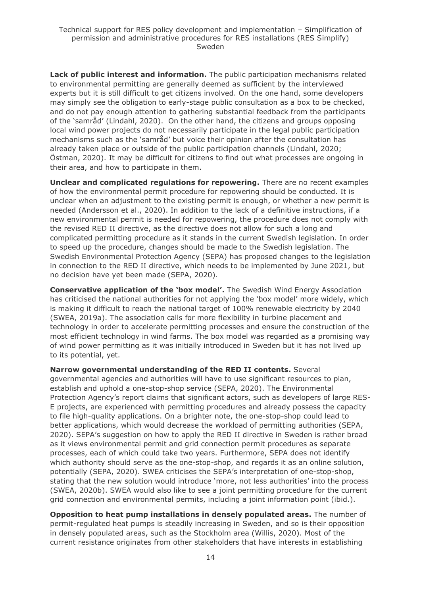**Lack of public interest and information.** The public participation mechanisms related to environmental permitting are generally deemed as sufficient by the interviewed experts but it is still difficult to get citizens involved. On the one hand, some developers may simply see the obligation to early-stage public consultation as a box to be checked, and do not pay enough attention to gathering substantial feedback from the participants of the 'samråd' (Lindahl, 2020). On the other hand, the citizens and groups opposing local wind power projects do not necessarily participate in the legal public participation mechanisms such as the 'samråd' but voice their opinion after the consultation has already taken place or outside of the public participation channels (Lindahl, 2020; Östman, 2020). It may be difficult for citizens to find out what processes are ongoing in their area, and how to participate in them.

**Unclear and complicated regulations for repowering.** There are no recent examples of how the environmental permit procedure for repowering should be conducted. It is unclear when an adjustment to the existing permit is enough, or whether a new permit is needed (Andersson et al., 2020). In addition to the lack of a definitive instructions, if a new environmental permit is needed for repowering, the procedure does not comply with the revised RED II directive, as the directive does not allow for such a long and complicated permitting procedure as it stands in the current Swedish legislation. In order to speed up the procedure, changes should be made to the Swedish legislation. The Swedish Environmental Protection Agency (SEPA) has proposed changes to the legislation in connection to the RED II directive, which needs to be implemented by June 2021, but no decision have yet been made (SEPA, 2020).

**Conservative application of the 'box model'.** The Swedish Wind Energy Association has criticised the national authorities for not applying the 'box model' more widely, which is making it difficult to reach the national target of 100% renewable electricity by 2040 (SWEA, 2019a). The association calls for more flexibility in turbine placement and technology in order to accelerate permitting processes and ensure the construction of the most efficient technology in wind farms. The box model was regarded as a promising way of wind power permitting as it was initially introduced in Sweden but it has not lived up to its potential, yet.

**Narrow governmental understanding of the RED II contents.** Several governmental agencies and authorities will have to use significant resources to plan, establish and uphold a one-stop-shop service (SEPA, 2020). The Environmental Protection Agency's report claims that significant actors, such as developers of large RES-E projects, are experienced with permitting procedures and already possess the capacity to file high-quality applications. On a brighter note, the one-stop-shop could lead to better applications, which would decrease the workload of permitting authorities (SEPA, 2020). SEPA's suggestion on how to apply the RED II directive in Sweden is rather broad as it views environmental permit and grid connection permit procedures as separate processes, each of which could take two years. Furthermore, SEPA does not identify which authority should serve as the one-stop-shop, and regards it as an online solution, potentially (SEPA, 2020). SWEA criticises the SEPA's interpretation of one-stop-shop, stating that the new solution would introduce 'more, not less authorities' into the process (SWEA, 2020b). SWEA would also like to see a joint permitting procedure for the current grid connection and environmental permits, including a joint information point (ibid.).

**Opposition to heat pump installations in densely populated areas.** The number of permit-regulated heat pumps is steadily increasing in Sweden, and so is their opposition in densely populated areas, such as the Stockholm area (Willis, 2020). Most of the current resistance originates from other stakeholders that have interests in establishing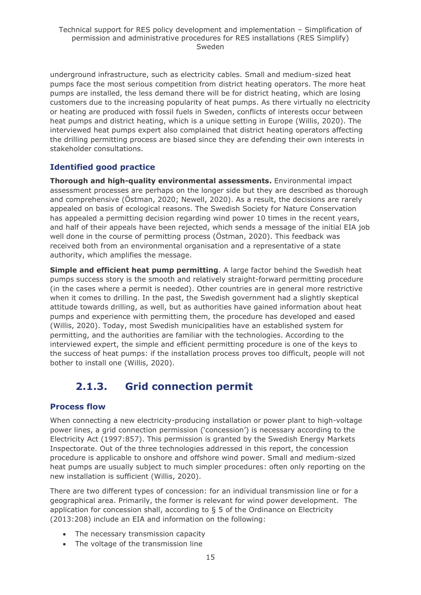underground infrastructure, such as electricity cables. Small and medium-sized heat pumps face the most serious competition from district heating operators. The more heat pumps are installed, the less demand there will be for district heating, which are losing customers due to the increasing popularity of heat pumps. As there virtually no electricity or heating are produced with fossil fuels in Sweden, conflicts of interests occur between heat pumps and district heating, which is a unique setting in Europe (Willis, 2020). The interviewed heat pumps expert also complained that district heating operators affecting the drilling permitting process are biased since they are defending their own interests in stakeholder consultations.

## **Identified good practice**

**Thorough and high-quality environmental assessments.** Environmental impact assessment processes are perhaps on the longer side but they are described as thorough and comprehensive (Östman, 2020; Newell, 2020). As a result, the decisions are rarely appealed on basis of ecological reasons. The Swedish Society for Nature Conservation has appealed a permitting decision regarding wind power 10 times in the recent years, and half of their appeals have been rejected, which sends a message of the initial EIA job well done in the course of permitting process (Östman, 2020). This feedback was received both from an environmental organisation and a representative of a state authority, which amplifies the message.

**Simple and efficient heat pump permitting**. A large factor behind the Swedish heat pumps success story is the smooth and relatively straight-forward permitting procedure (in the cases where a permit is needed). Other countries are in general more restrictive when it comes to drilling. In the past, the Swedish government had a slightly skeptical attitude towards drilling, as well, but as authorities have gained information about heat pumps and experience with permitting them, the procedure has developed and eased (Willis, 2020). Today, most Swedish municipalities have an established system for permitting, and the authorities are familiar with the technologies. According to the interviewed expert, the simple and efficient permitting procedure is one of the keys to the success of heat pumps: if the installation process proves too difficult, people will not bother to install one (Willis, 2020).

## **2.1.3. Grid connection permit**

## <span id="page-14-0"></span>**Process flow**

When connecting a new electricity-producing installation or power plant to high-voltage power lines, a grid connection permission ('concession') is necessary according to the Electricity Act (1997:857). This permission is granted by the Swedish Energy Markets Inspectorate. Out of the three technologies addressed in this report, the concession procedure is applicable to onshore and offshore wind power. Small and medium-sized heat pumps are usually subject to much simpler procedures: often only reporting on the new installation is sufficient (Willis, 2020).

There are two different types of concession: for an individual transmission line or for a geographical area. Primarily, the former is relevant for wind power development. The application for concession shall, according to  $\S$  5 of the Ordinance on Electricity (2013:208) include an EIA and information on the following:

- The necessary transmission capacity
- The voltage of the transmission line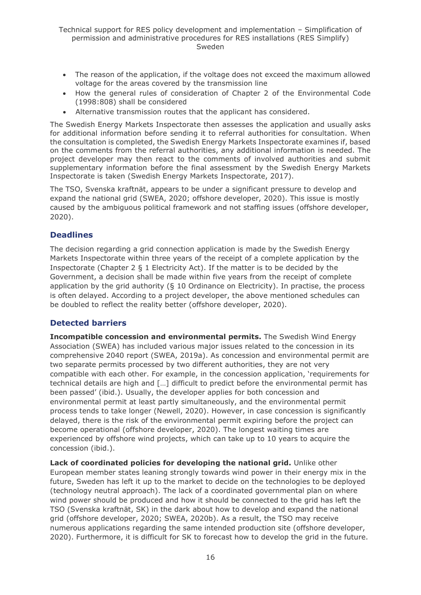- The reason of the application, if the voltage does not exceed the maximum allowed voltage for the areas covered by the transmission line
- How the general rules of consideration of Chapter 2 of the Environmental Code (1998:808) shall be considered
- Alternative transmission routes that the applicant has considered.

The Swedish Energy Markets Inspectorate then assesses the application and usually asks for additional information before sending it to referral authorities for consultation. When the consultation is completed, the Swedish Energy Markets Inspectorate examines if, based on the comments from the referral authorities, any additional information is needed. The project developer may then react to the comments of involved authorities and submit supplementary information before the final assessment by the Swedish Energy Markets Inspectorate is taken (Swedish Energy Markets Inspectorate, 2017).

The TSO, Svenska kraftnät, appears to be under a significant pressure to develop and expand the national grid (SWEA, 2020; offshore developer, 2020). This issue is mostly caused by the ambiguous political framework and not staffing issues (offshore developer, 2020).

## **Deadlines**

The decision regarding a grid connection application is made by the Swedish Energy Markets Inspectorate within three years of the receipt of a complete application by the Inspectorate (Chapter 2 § 1 Electricity Act). If the matter is to be decided by the Government, a decision shall be made within five years from the receipt of complete application by the grid authority (§ 10 Ordinance on Electricity). In practise, the process is often delayed. According to a project developer, the above mentioned schedules can be doubled to reflect the reality better (offshore developer, 2020).

## **Detected barriers**

**Incompatible concession and environmental permits.** The Swedish Wind Energy Association (SWEA) has included various major issues related to the concession in its comprehensive 2040 report (SWEA, 2019a). As concession and environmental permit are two separate permits processed by two different authorities, they are not very compatible with each other. For example, in the concession application, 'requirements for technical details are high and […] difficult to predict before the environmental permit has been passed' (ibid.). Usually, the developer applies for both concession and environmental permit at least partly simultaneously, and the environmental permit process tends to take longer (Newell, 2020). However, in case concession is significantly delayed, there is the risk of the environmental permit expiring before the project can become operational (offshore developer, 2020). The longest waiting times are experienced by offshore wind projects, which can take up to 10 years to acquire the concession (ibid.).

**Lack of coordinated policies for developing the national grid.** Unlike other European member states leaning strongly towards wind power in their energy mix in the future, Sweden has left it up to the market to decide on the technologies to be deployed (technology neutral approach). The lack of a coordinated governmental plan on where wind power should be produced and how it should be connected to the grid has left the TSO (Svenska kraftnät, SK) in the dark about how to develop and expand the national grid (offshore developer, 2020; SWEA, 2020b). As a result, the TSO may receive numerous applications regarding the same intended production site (offshore developer, 2020). Furthermore, it is difficult for SK to forecast how to develop the grid in the future.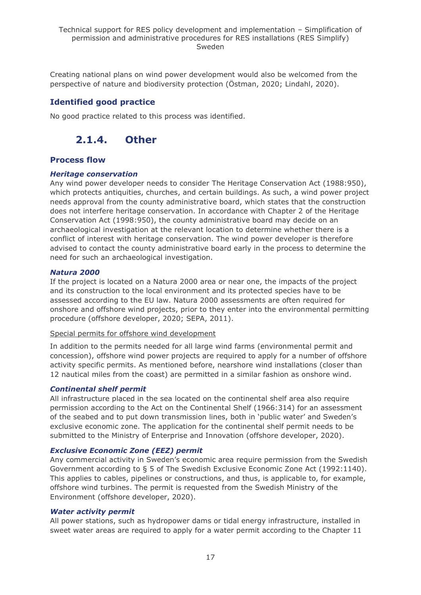Creating national plans on wind power development would also be welcomed from the perspective of nature and biodiversity protection (Östman, 2020; Lindahl, 2020).

## **Identified good practice**

<span id="page-16-0"></span>No good practice related to this process was identified.

## **2.1.4. Other**

## **Process flow**

### *Heritage conservation*

Any wind power developer needs to consider The Heritage Conservation Act (1988:950), which protects antiquities, churches, and certain buildings. As such, a wind power project needs approval from the county administrative board, which states that the construction does not interfere heritage conservation. In accordance with Chapter 2 of the Heritage Conservation Act (1998:950), the county administrative board may decide on an archaeological investigation at the relevant location to determine whether there is a conflict of interest with heritage conservation. The wind power developer is therefore advised to contact the county administrative board early in the process to determine the need for such an archaeological investigation.

### *Natura 2000*

If the project is located on a Natura 2000 area or near one, the impacts of the project and its construction to the local environment and its protected species have to be assessed according to the EU law. Natura 2000 assessments are often required for onshore and offshore wind projects, prior to they enter into the environmental permitting procedure (offshore developer, 2020; SEPA, 2011).

### Special permits for offshore wind development

In addition to the permits needed for all large wind farms (environmental permit and concession), offshore wind power projects are required to apply for a number of offshore activity specific permits. As mentioned before, nearshore wind installations (closer than 12 nautical miles from the coast) are permitted in a similar fashion as onshore wind.

### *Continental shelf permit*

All infrastructure placed in the sea located on the continental shelf area also require permission according to the Act on the Continental Shelf (1966:314) for an assessment of the seabed and to put down transmission lines, both in 'public water' and Sweden's exclusive economic zone. The application for the continental shelf permit needs to be submitted to the Ministry of Enterprise and Innovation (offshore developer, 2020).

### *Exclusive Economic Zone (EEZ) permit*

Any commercial activity in Sweden's economic area require permission from the Swedish Government according to § 5 of The Swedish Exclusive Economic Zone Act (1992:1140). This applies to cables, pipelines or constructions, and thus, is applicable to, for example, offshore wind turbines. The permit is requested from the Swedish Ministry of the Environment (offshore developer, 2020).

#### *Water activity permit*

All power stations, such as hydropower dams or tidal energy infrastructure, installed in sweet water areas are required to apply for a water permit according to the Chapter 11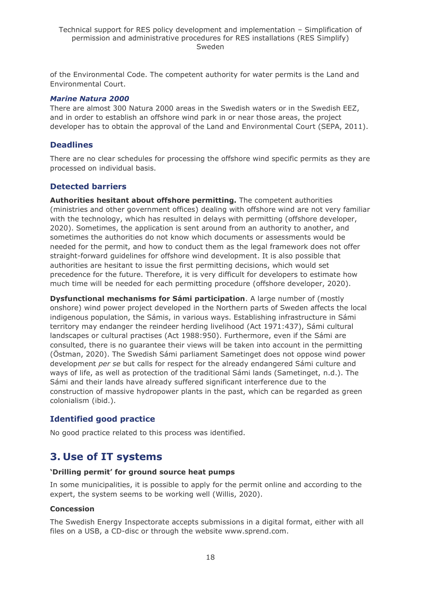of the Environmental Code. The competent authority for water permits is the Land and Environmental Court.

#### *Marine Natura 2000*

There are almost 300 Natura 2000 areas in the Swedish waters or in the Swedish EEZ, and in order to establish an offshore wind park in or near those areas, the project developer has to obtain the approval of the Land and Environmental Court (SEPA, 2011).

## **Deadlines**

There are no clear schedules for processing the offshore wind specific permits as they are processed on individual basis.

## **Detected barriers**

**Authorities hesitant about offshore permitting.** The competent authorities (ministries and other government offices) dealing with offshore wind are not very familiar with the technology, which has resulted in delays with permitting (offshore developer, 2020). Sometimes, the application is sent around from an authority to another, and sometimes the authorities do not know which documents or assessments would be needed for the permit, and how to conduct them as the legal framework does not offer straight-forward guidelines for offshore wind development. It is also possible that authorities are hesitant to issue the first permitting decisions, which would set precedence for the future. Therefore, it is very difficult for developers to estimate how much time will be needed for each permitting procedure (offshore developer, 2020).

**Dysfunctional mechanisms for Sámi participation**. A large number of (mostly onshore) wind power project developed in the Northern parts of Sweden affects the local indigenous population, the Sámis, in various ways. Establishing infrastructure in Sámi territory may endanger the reindeer herding livelihood (Act 1971:437), Sámi cultural landscapes or cultural practises (Act 1988:950). Furthermore, even if the Sámi are consulted, there is no guarantee their views will be taken into account in the permitting (Östman, 2020). The Swedish Sámi parliament Sametinget does not oppose wind power development *per se* but calls for respect for the already endangered Sámi culture and ways of life, as well as protection of the traditional Sámi lands (Sametinget, n.d.). The Sámi and their lands have already suffered significant interference due to the construction of massive hydropower plants in the past, which can be regarded as green colonialism (ibid.).

## **Identified good practice**

No good practice related to this process was identified.

## <span id="page-17-0"></span>**3. Use of IT systems**

### **'Drilling permit' for ground source heat pumps**

In some municipalities, it is possible to apply for the permit online and according to the expert, the system seems to be working well (Willis, 2020).

### **Concession**

The Swedish Energy Inspectorate accepts submissions in a digital format, either with all files on a USB, a CD-disc or through the website www.sprend.com.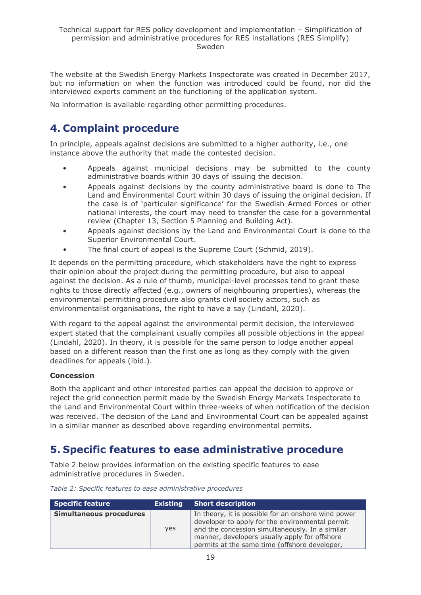The website at the Swedish Energy Markets Inspectorate was created in December 2017, but no information on when the function was introduced could be found, nor did the interviewed experts comment on the functioning of the application system.

No information is available regarding other permitting procedures.

## <span id="page-18-0"></span>**4. Complaint procedure**

In principle, appeals against decisions are submitted to a higher authority, i.e., one instance above the authority that made the contested decision.

- Appeals against municipal decisions may be submitted to the county administrative boards within 30 days of issuing the decision.
- Appeals against decisions by the county administrative board is done to The Land and Environmental Court within 30 days of issuing the original decision. If the case is of 'particular significance' for the Swedish Armed Forces or other national interests, the court may need to transfer the case for a governmental review (Chapter 13, Section 5 Planning and Building Act).
- Appeals against decisions by the Land and Environmental Court is done to the Superior Environmental Court.
- The final court of appeal is the Supreme Court (Schmid, 2019).

It depends on the permitting procedure, which stakeholders have the right to express their opinion about the project during the permitting procedure, but also to appeal against the decision. As a rule of thumb, municipal-level processes tend to grant these rights to those directly affected (e.g., owners of neighbouring properties), whereas the environmental permitting procedure also grants civil society actors, such as environmentalist organisations, the right to have a say (Lindahl, 2020).

With regard to the appeal against the environmental permit decision, the interviewed expert stated that the complainant usually compiles all possible objections in the appeal (Lindahl, 2020). In theory, it is possible for the same person to lodge another appeal based on a different reason than the first one as long as they comply with the given deadlines for appeals (ibid.).

## **Concession**

Both the applicant and other interested parties can appeal the decision to approve or reject the grid connection permit made by the Swedish Energy Markets Inspectorate to the Land and Environmental Court within three-weeks of when notification of the decision was received. The decision of the Land and Environmental Court can be appealed against in a similar manner as described above regarding environmental permits.

## <span id="page-18-1"></span>**5. Specific features to ease administrative procedure**

Table 2 below provides information on the existing specific features to ease administrative procedures in Sweden.

| <b>Specific feature</b>        | Existing | <b>Short description</b>                                                                                                                                                                                                                                    |
|--------------------------------|----------|-------------------------------------------------------------------------------------------------------------------------------------------------------------------------------------------------------------------------------------------------------------|
| <b>Simultaneous procedures</b> | yes      | In theory, it is possible for an onshore wind power<br>developer to apply for the environmental permit<br>and the concession simultaneously. In a similar<br>manner, developers usually apply for offshore<br>permits at the same time (offshore developer, |

*Table 2: Specific features to ease administrative procedures*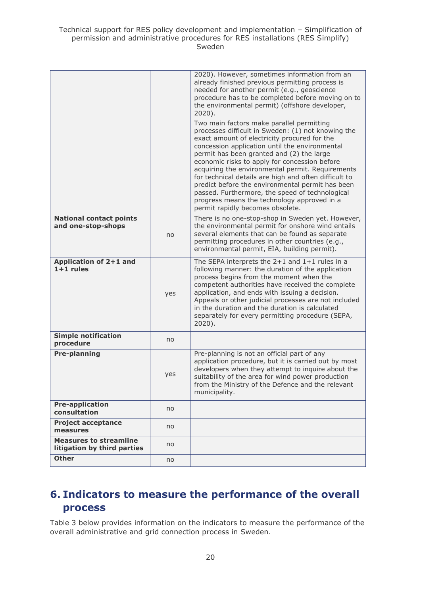Technical support for RES policy development and implementation – Simplification of permission and administrative procedures for RES installations (RES Simplify) Sweden

|                                                              |     | 2020). However, sometimes information from an<br>already finished previous permitting process is<br>needed for another permit (e.g., geoscience<br>procedure has to be completed before moving on to<br>the environmental permit) (offshore developer,<br>$2020$ ).<br>Two main factors make parallel permitting<br>processes difficult in Sweden: (1) not knowing the<br>exact amount of electricity procured for the<br>concession application until the environmental<br>permit has been granted and (2) the large<br>economic risks to apply for concession before<br>acquiring the environmental permit. Requirements<br>for technical details are high and often difficult to<br>predict before the environmental permit has been<br>passed. Furthermore, the speed of technological<br>progress means the technology approved in a<br>permit rapidly becomes obsolete. |
|--------------------------------------------------------------|-----|-------------------------------------------------------------------------------------------------------------------------------------------------------------------------------------------------------------------------------------------------------------------------------------------------------------------------------------------------------------------------------------------------------------------------------------------------------------------------------------------------------------------------------------------------------------------------------------------------------------------------------------------------------------------------------------------------------------------------------------------------------------------------------------------------------------------------------------------------------------------------------|
| <b>National contact points</b><br>and one-stop-shops         | no  | There is no one-stop-shop in Sweden yet. However,<br>the environmental permit for onshore wind entails<br>several elements that can be found as separate<br>permitting procedures in other countries (e.g.,<br>environmental permit, EIA, building permit).                                                                                                                                                                                                                                                                                                                                                                                                                                                                                                                                                                                                                   |
| Application of 2+1 and<br>$1+1$ rules                        | yes | The SEPA interprets the $2+1$ and $1+1$ rules in a<br>following manner: the duration of the application<br>process begins from the moment when the<br>competent authorities have received the complete<br>application, and ends with issuing a decision.<br>Appeals or other judicial processes are not included<br>in the duration and the duration is calculated<br>separately for every permitting procedure (SEPA,<br>$2020$ ).                                                                                                                                                                                                                                                                                                                                                                                                                                           |
| <b>Simple notification</b><br>procedure                      | no  |                                                                                                                                                                                                                                                                                                                                                                                                                                                                                                                                                                                                                                                                                                                                                                                                                                                                               |
| <b>Pre-planning</b>                                          | yes | Pre-planning is not an official part of any<br>application procedure, but it is carried out by most<br>developers when they attempt to inquire about the<br>suitability of the area for wind power production<br>from the Ministry of the Defence and the relevant<br>municipality.                                                                                                                                                                                                                                                                                                                                                                                                                                                                                                                                                                                           |
| <b>Pre-application</b><br>consultation                       | no  |                                                                                                                                                                                                                                                                                                                                                                                                                                                                                                                                                                                                                                                                                                                                                                                                                                                                               |
| <b>Project acceptance</b><br>measures                        | no  |                                                                                                                                                                                                                                                                                                                                                                                                                                                                                                                                                                                                                                                                                                                                                                                                                                                                               |
| <b>Measures to streamline</b><br>litigation by third parties | no  |                                                                                                                                                                                                                                                                                                                                                                                                                                                                                                                                                                                                                                                                                                                                                                                                                                                                               |
| <b>Other</b>                                                 | no  |                                                                                                                                                                                                                                                                                                                                                                                                                                                                                                                                                                                                                                                                                                                                                                                                                                                                               |

## <span id="page-19-0"></span>**6. Indicators to measure the performance of the overall process**

Table 3 below provides information on the indicators to measure the performance of the overall administrative and grid connection process in Sweden.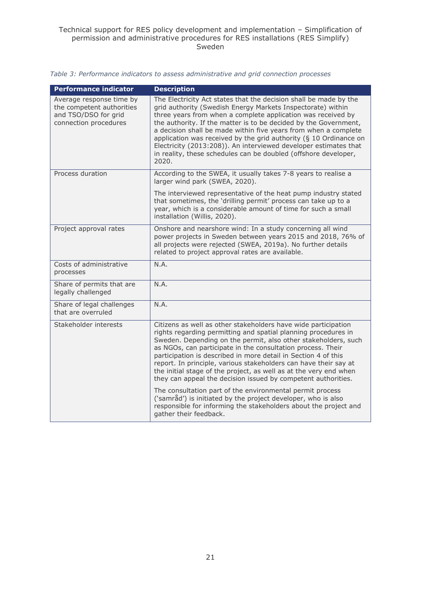#### Technical support for RES policy development and implementation – Simplification of permission and administrative procedures for RES installations (RES Simplify) Sweden

|  |  | Table 3: Performance indicators to assess administrative and grid connection processes |  |  |
|--|--|----------------------------------------------------------------------------------------|--|--|

| <b>Performance indicator</b>                                                                           | <b>Description</b>                                                                                                                                                                                                                                                                                                                                                                                                                                                                                                                                                                                                                                                          |
|--------------------------------------------------------------------------------------------------------|-----------------------------------------------------------------------------------------------------------------------------------------------------------------------------------------------------------------------------------------------------------------------------------------------------------------------------------------------------------------------------------------------------------------------------------------------------------------------------------------------------------------------------------------------------------------------------------------------------------------------------------------------------------------------------|
| Average response time by<br>the competent authorities<br>and TSO/DSO for grid<br>connection procedures | The Electricity Act states that the decision shall be made by the<br>grid authority (Swedish Energy Markets Inspectorate) within<br>three years from when a complete application was received by<br>the authority. If the matter is to be decided by the Government,<br>a decision shall be made within five years from when a complete<br>application was received by the grid authority ( $\S$ 10 Ordinance on<br>Electricity (2013:208)). An interviewed developer estimates that<br>in reality, these schedules can be doubled (offshore developer,<br>2020.                                                                                                            |
| Process duration                                                                                       | According to the SWEA, it usually takes 7-8 years to realise a<br>larger wind park (SWEA, 2020).                                                                                                                                                                                                                                                                                                                                                                                                                                                                                                                                                                            |
|                                                                                                        | The interviewed representative of the heat pump industry stated<br>that sometimes, the 'drilling permit' process can take up to a<br>year, which is a considerable amount of time for such a small<br>installation (Willis, 2020).                                                                                                                                                                                                                                                                                                                                                                                                                                          |
| Project approval rates                                                                                 | Onshore and nearshore wind: In a study concerning all wind<br>power projects in Sweden between years 2015 and 2018, 76% of<br>all projects were rejected (SWEA, 2019a). No further details<br>related to project approval rates are available.                                                                                                                                                                                                                                                                                                                                                                                                                              |
| Costs of administrative<br>processes                                                                   | N.A.                                                                                                                                                                                                                                                                                                                                                                                                                                                                                                                                                                                                                                                                        |
| Share of permits that are<br>legally challenged                                                        | N.A.                                                                                                                                                                                                                                                                                                                                                                                                                                                                                                                                                                                                                                                                        |
| Share of legal challenges<br>that are overruled                                                        | N.A.                                                                                                                                                                                                                                                                                                                                                                                                                                                                                                                                                                                                                                                                        |
| Stakeholder interests                                                                                  | Citizens as well as other stakeholders have wide participation<br>rights regarding permitting and spatial planning procedures in<br>Sweden. Depending on the permit, also other stakeholders, such<br>as NGOs, can participate in the consultation process. Their<br>participation is described in more detail in Section 4 of this<br>report. In principle, various stakeholders can have their say at<br>the initial stage of the project, as well as at the very end when<br>they can appeal the decision issued by competent authorities.<br>The consultation part of the environmental permit process<br>('samråd') is initiated by the project developer, who is also |
|                                                                                                        | responsible for informing the stakeholders about the project and<br>gather their feedback.                                                                                                                                                                                                                                                                                                                                                                                                                                                                                                                                                                                  |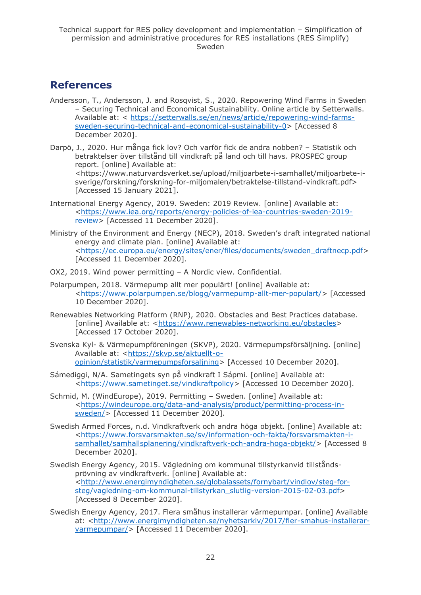## <span id="page-21-0"></span>**References**

- Andersson, T., Andersson, J. and Rosqvist, S., 2020. Repowering Wind Farms in Sweden – Securing Technical and Economical Sustainability. Online article by Setterwalls. Available at: < [https://setterwalls.se/en/news/article/repowering-wind-farms](https://setterwalls.se/en/news/article/repowering-wind-farms-sweden-securing-technical-and-economical-sustainability-0)[sweden-securing-technical-and-economical-sustainability-0>](https://setterwalls.se/en/news/article/repowering-wind-farms-sweden-securing-technical-and-economical-sustainability-0) [Accessed 8 December 2020].
- Darpö, J., 2020. Hur många fick lov? Och varför fick de andra nobben? Statistik och betraktelser över tillstånd till vindkraft på land och till havs. PROSPEC group report. [online] Available at: <https://www.naturvardsverket.se/upload/miljoarbete-i-samhallet/miljoarbete-isverige/forskning/forskning-for-miljomalen/betraktelse-tillstand-vindkraft.pdf> [Accessed 15 January 2021].
- International Energy Agency, 2019. Sweden: 2019 Review. [online] Available at: [<https://www.iea.org/reports/energy-policies-of-iea-countries-sweden-2019](https://www.iea.org/reports/energy-policies-of-iea-countries-sweden-2019-review) [review>](https://www.iea.org/reports/energy-policies-of-iea-countries-sweden-2019-review) [Accessed 11 December 2020].
- Ministry of the Environment and Energy (NECP), 2018. Sweden's draft integrated national energy and climate plan. [online] Available at: [<https://ec.europa.eu/energy/sites/ener/files/documents/sweden\\_draftnecp.pdf>](https://ec.europa.eu/energy/sites/ener/files/documents/sweden_draftnecp.pdf) [Accessed 11 December 2020].
- OX2, 2019. Wind power permitting A Nordic view. Confidential.
- Polarpumpen, 2018. Värmepump allt mer populärt! [online] Available at: [<https://www.polarpumpen.se/blogg/varmepump-allt-mer-populart/>](https://www.polarpumpen.se/blogg/varmepump-allt-mer-populart/) [Accessed 10 December 2020].
- Renewables Networking Platform (RNP), 2020. Obstacles and Best Practices database. [online] Available at: [<https://www.renewables-networking.eu/obstacles>](https://www.renewables-networking.eu/obstacles) [Accessed 17 October 2020].
- Svenska Kyl- & Värmepumpföreningen (SKVP), 2020. Värmepumpsförsäljning. [online] Available at: < https://skvp.se/aktuellt-o[opinion/statistik/varmepumpsforsaljning>](https://skvp.se/aktuellt-o-opinion/statistik/varmepumpsforsaljning) [Accessed 10 December 2020].
- Sámediggi, N/A. Sametingets syn på vindkraft I Sápmi. [online] Available at: [<https://www.sametinget.se/vindkraftpolicy>](https://www.sametinget.se/vindkraftpolicy) [Accessed 10 December 2020].
- Schmid, M. (WindEurope), 2019. Permitting Sweden. [online] Available at: [<https://windeurope.org/data-and-analysis/product/permitting-process-in](https://windeurope.org/data-and-analysis/product/permitting-process-in-sweden/)[sweden/>](https://windeurope.org/data-and-analysis/product/permitting-process-in-sweden/) [Accessed 11 December 2020].
- Swedish Armed Forces, n.d. Vindkraftverk och andra höga objekt. [online] Available at: [<https://www.forsvarsmakten.se/sv/information-och-fakta/forsvarsmakten-i](https://www.forsvarsmakten.se/sv/information-och-fakta/forsvarsmakten-i-samhallet/samhallsplanering/vindkraftverk-och-andra-hoga-objekt/)[samhallet/samhallsplanering/vindkraftverk-och-andra-hoga-objekt/>](https://www.forsvarsmakten.se/sv/information-och-fakta/forsvarsmakten-i-samhallet/samhallsplanering/vindkraftverk-och-andra-hoga-objekt/) [Accessed 8 December 2020].
- Swedish Energy Agency, 2015. Vägledning om kommunal tillstyrkanvid tillståndsprövning av vindkraftverk. [online] Available at: [<http://www.energimyndigheten.se/globalassets/fornybart/vindlov/steg-for](http://www.energimyndigheten.se/globalassets/fornybart/vindlov/steg-for-steg/vagledning-om-kommunal-tillstyrkan_slutlig-version-2015-02-03.pdf)[steg/vagledning-om-kommunal-tillstyrkan\\_slutlig-version-2015-02-03.pdf>](http://www.energimyndigheten.se/globalassets/fornybart/vindlov/steg-for-steg/vagledning-om-kommunal-tillstyrkan_slutlig-version-2015-02-03.pdf) [Accessed 8 December 2020].
- Swedish Energy Agency, 2017. Flera småhus installerar värmepumpar. [online] Available at: [<http://www.energimyndigheten.se/nyhetsarkiv/2017/fler-smahus-installerar](http://www.energimyndigheten.se/nyhetsarkiv/2017/fler-smahus-installerar-varmepumpar/)[varmepumpar/>](http://www.energimyndigheten.se/nyhetsarkiv/2017/fler-smahus-installerar-varmepumpar/) [Accessed 11 December 2020].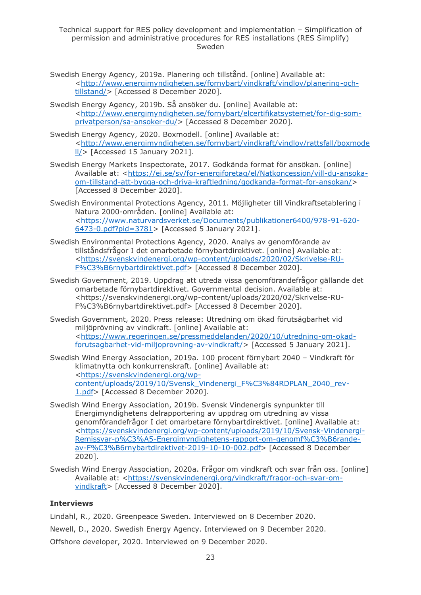Technical support for RES policy development and implementation – Simplification of permission and administrative procedures for RES installations (RES Simplify) Sweden

- Swedish Energy Agency, 2019a. Planering och tillstånd. [online] Available at: [<http://www.energimyndigheten.se/fornybart/vindkraft/vindlov/planering-och](http://www.energimyndigheten.se/fornybart/vindkraft/vindlov/planering-och-tillstand/)[tillstand/>](http://www.energimyndigheten.se/fornybart/vindkraft/vindlov/planering-och-tillstand/) [Accessed 8 December 2020].
- Swedish Energy Agency, 2019b. Så ansöker du. [online] Available at: [<http://www.energimyndigheten.se/fornybart/elcertifikatsystemet/for-dig-som](http://www.energimyndigheten.se/fornybart/elcertifikatsystemet/for-dig-som-privatperson/sa-ansoker-du/)[privatperson/sa-ansoker-du/>](http://www.energimyndigheten.se/fornybart/elcertifikatsystemet/for-dig-som-privatperson/sa-ansoker-du/) [Accessed 8 December 2020].
- Swedish Energy Agency, 2020. Boxmodell. [online] Available at: [<http://www.energimyndigheten.se/fornybart/vindkraft/vindlov/rattsfall/boxmode](http://www.energimyndigheten.se/fornybart/vindkraft/vindlov/rattsfall/boxmodell/) [ll/>](http://www.energimyndigheten.se/fornybart/vindkraft/vindlov/rattsfall/boxmodell/) [Accessed 15 January 2021].
- Swedish Energy Markets Inspectorate, 2017. Godkända format för ansökan. [online] Available at: [<https://ei.se/sv/for-energiforetag/el/Natkoncession/vill-du-ansoka](https://ei.se/sv/for-energiforetag/el/Natkoncession/vill-du-ansoka-om-tillstand-att-bygga-och-driva-kraftledning/godkanda-format-for-ansokan/)[om-tillstand-att-bygga-och-driva-kraftledning/godkanda-format-for-ansokan/>](https://ei.se/sv/for-energiforetag/el/Natkoncession/vill-du-ansoka-om-tillstand-att-bygga-och-driva-kraftledning/godkanda-format-for-ansokan/) [Accessed 8 December 2020].
- Swedish Environmental Protections Agency, 2011. Möjligheter till Vindkraftsetablering i Natura 2000-områden. [online] Available at: [<https://www.naturvardsverket.se/Documents/publikationer6400/978-91-620-](https://www.naturvardsverket.se/Documents/publikationer6400/978-91-620-6473-0.pdf?pid=3781) [6473-0.pdf?pid=3781>](https://www.naturvardsverket.se/Documents/publikationer6400/978-91-620-6473-0.pdf?pid=3781) [Accessed 5 January 2021].
- Swedish Environmental Protections Agency, 2020. Analys av genomförande av tillståndsfrågor I det omarbetade förnybartdirektivet. [online] Available at: [<https://svenskvindenergi.org/wp-content/uploads/2020/02/Skrivelse-RU-](https://svenskvindenergi.org/wp-content/uploads/2020/02/Skrivelse-RU-F%C3%B6rnybartdirektivet.pdf)[F%C3%B6rnybartdirektivet.pdf>](https://svenskvindenergi.org/wp-content/uploads/2020/02/Skrivelse-RU-F%C3%B6rnybartdirektivet.pdf) [Accessed 8 December 2020].
- Swedish Government, 2019. Uppdrag att utreda vissa genomförandefrågor gällande det omarbetade förnybartdirektivet. Governmental decision. Available at: <https://svenskvindenergi.org/wp-content/uploads/2020/02/Skrivelse-RU-F%C3%B6rnybartdirektivet.pdf> [Accessed 8 December 2020].
- Swedish Government, 2020. Press release: Utredning om ökad förutsägbarhet vid miljöprövning av vindkraft. [online] Available at: [<https://www.regeringen.se/pressmeddelanden/2020/10/utredning-om-okad](https://www.regeringen.se/pressmeddelanden/2020/10/utredning-om-okad-forutsagbarhet-vid-miljoprovning-av-vindkraft/)[forutsagbarhet-vid-miljoprovning-av-vindkraft/>](https://www.regeringen.se/pressmeddelanden/2020/10/utredning-om-okad-forutsagbarhet-vid-miljoprovning-av-vindkraft/) [Accessed 5 January 2021].
- Swedish Wind Energy Association, 2019a. 100 procent förnybart 2040 Vindkraft för klimatnytta och konkurrenskraft. [online] Available at: [<https://svenskvindenergi.org/wp](https://svenskvindenergi.org/wp-content/uploads/2019/10/Svensk_Vindenergi_F%C3%84RDPLAN_2040_rev-1.pdf)[content/uploads/2019/10/Svensk\\_Vindenergi\\_F%C3%84RDPLAN\\_2040\\_rev-](https://svenskvindenergi.org/wp-content/uploads/2019/10/Svensk_Vindenergi_F%C3%84RDPLAN_2040_rev-1.pdf)[1.pdf>](https://svenskvindenergi.org/wp-content/uploads/2019/10/Svensk_Vindenergi_F%C3%84RDPLAN_2040_rev-1.pdf) [Accessed 8 December 2020].
- Swedish Wind Energy Association, 2019b. Svensk Vindenergis synpunkter till Energimyndighetens delrapportering av uppdrag om utredning av vissa genomförandefrågor I det omarbetare förnybartdirektivet. [online] Available at: [<https://svenskvindenergi.org/wp-content/uploads/2019/10/Svensk-Vindenergi-](https://svenskvindenergi.org/wp-content/uploads/2019/10/Svensk-Vindenergi-Remissvar-p%C3%A5-Energimyndighetens-rapport-om-genomf%C3%B6rande-av-F%C3%B6rnybartdirektivet-2019-10-10-002.pdf)[Remissvar-p%C3%A5-Energimyndighetens-rapport-om-genomf%C3%B6rande](https://svenskvindenergi.org/wp-content/uploads/2019/10/Svensk-Vindenergi-Remissvar-p%C3%A5-Energimyndighetens-rapport-om-genomf%C3%B6rande-av-F%C3%B6rnybartdirektivet-2019-10-10-002.pdf)[av-F%C3%B6rnybartdirektivet-2019-10-10-002.pdf>](https://svenskvindenergi.org/wp-content/uploads/2019/10/Svensk-Vindenergi-Remissvar-p%C3%A5-Energimyndighetens-rapport-om-genomf%C3%B6rande-av-F%C3%B6rnybartdirektivet-2019-10-10-002.pdf) [Accessed 8 December 2020].
- Swedish Wind Energy Association, 2020a. Frågor om vindkraft och svar från oss. [online] Available at: [<https://svenskvindenergi.org/vindkraft/fragor-och-svar-om](https://svenskvindenergi.org/vindkraft/fragor-och-svar-om-vindkraft)[vindkraft>](https://svenskvindenergi.org/vindkraft/fragor-och-svar-om-vindkraft) [Accessed 8 December 2020].

## **Interviews**

Lindahl, R., 2020. Greenpeace Sweden. Interviewed on 8 December 2020.

Newell, D., 2020. Swedish Energy Agency. Interviewed on 9 December 2020.

Offshore developer, 2020. Interviewed on 9 December 2020.